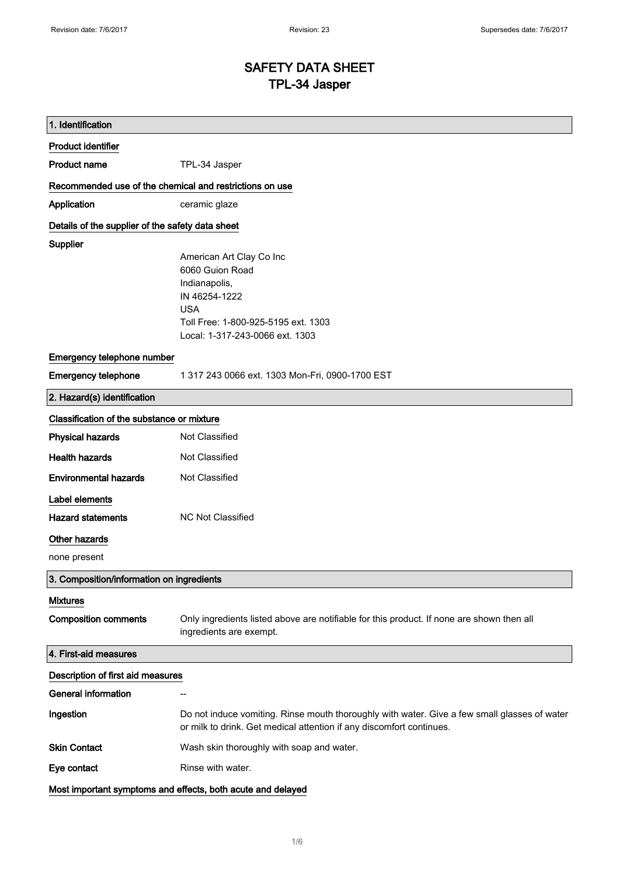# SAFETY DATA SHEET TPL-34 Jasper

| 1. Identification                                           |                                                                                                                                                                      |  |
|-------------------------------------------------------------|----------------------------------------------------------------------------------------------------------------------------------------------------------------------|--|
| <b>Product identifier</b>                                   |                                                                                                                                                                      |  |
| <b>Product name</b>                                         | TPL-34 Jasper                                                                                                                                                        |  |
| Recommended use of the chemical and restrictions on use     |                                                                                                                                                                      |  |
| Application                                                 | ceramic glaze                                                                                                                                                        |  |
| Details of the supplier of the safety data sheet            |                                                                                                                                                                      |  |
| Supplier                                                    |                                                                                                                                                                      |  |
|                                                             | American Art Clay Co Inc                                                                                                                                             |  |
|                                                             | 6060 Guion Road                                                                                                                                                      |  |
|                                                             | Indianapolis,                                                                                                                                                        |  |
|                                                             | IN 46254-1222<br><b>USA</b>                                                                                                                                          |  |
|                                                             | Toll Free: 1-800-925-5195 ext. 1303                                                                                                                                  |  |
|                                                             | Local: 1-317-243-0066 ext. 1303                                                                                                                                      |  |
|                                                             |                                                                                                                                                                      |  |
| Emergency telephone number                                  |                                                                                                                                                                      |  |
| <b>Emergency telephone</b>                                  | 1 317 243 0066 ext. 1303 Mon-Fri, 0900-1700 EST                                                                                                                      |  |
| 2. Hazard(s) identification                                 |                                                                                                                                                                      |  |
| Classification of the substance or mixture                  |                                                                                                                                                                      |  |
| <b>Physical hazards</b>                                     | Not Classified                                                                                                                                                       |  |
| <b>Health hazards</b>                                       | Not Classified                                                                                                                                                       |  |
| <b>Environmental hazards</b>                                | Not Classified                                                                                                                                                       |  |
| Label elements                                              |                                                                                                                                                                      |  |
| <b>Hazard statements</b>                                    | <b>NC Not Classified</b>                                                                                                                                             |  |
| Other hazards                                               |                                                                                                                                                                      |  |
| none present                                                |                                                                                                                                                                      |  |
| 3. Composition/information on ingredients                   |                                                                                                                                                                      |  |
| <b>Mixtures</b>                                             |                                                                                                                                                                      |  |
| <b>Composition comments</b>                                 | Only ingredients listed above are notifiable for this product. If none are shown then all                                                                            |  |
|                                                             | ingredients are exempt.                                                                                                                                              |  |
| 4. First-aid measures                                       |                                                                                                                                                                      |  |
| Description of first aid measures                           |                                                                                                                                                                      |  |
| <b>General information</b>                                  |                                                                                                                                                                      |  |
| Ingestion                                                   | Do not induce vomiting. Rinse mouth thoroughly with water. Give a few small glasses of water<br>or milk to drink. Get medical attention if any discomfort continues. |  |
| <b>Skin Contact</b>                                         | Wash skin thoroughly with soap and water.                                                                                                                            |  |
| Eye contact                                                 | Rinse with water.                                                                                                                                                    |  |
| Most important symptoms and effects, both acute and delayed |                                                                                                                                                                      |  |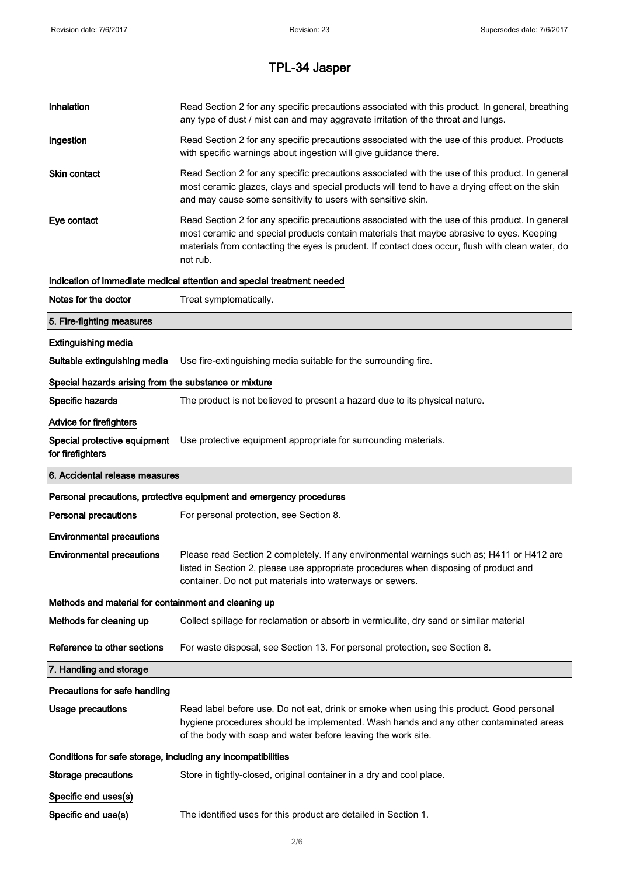| Inhalation                                                   | Read Section 2 for any specific precautions associated with this product. In general, breathing<br>any type of dust / mist can and may aggravate irritation of the throat and lungs.                                                                                                                        |  |
|--------------------------------------------------------------|-------------------------------------------------------------------------------------------------------------------------------------------------------------------------------------------------------------------------------------------------------------------------------------------------------------|--|
| Ingestion                                                    | Read Section 2 for any specific precautions associated with the use of this product. Products<br>with specific warnings about ingestion will give guidance there.                                                                                                                                           |  |
| <b>Skin contact</b>                                          | Read Section 2 for any specific precautions associated with the use of this product. In general<br>most ceramic glazes, clays and special products will tend to have a drying effect on the skin<br>and may cause some sensitivity to users with sensitive skin.                                            |  |
| Eye contact                                                  | Read Section 2 for any specific precautions associated with the use of this product. In general<br>most ceramic and special products contain materials that maybe abrasive to eyes. Keeping<br>materials from contacting the eyes is prudent. If contact does occur, flush with clean water, do<br>not rub. |  |
|                                                              | Indication of immediate medical attention and special treatment needed                                                                                                                                                                                                                                      |  |
| Notes for the doctor                                         | Treat symptomatically.                                                                                                                                                                                                                                                                                      |  |
| 5. Fire-fighting measures                                    |                                                                                                                                                                                                                                                                                                             |  |
| <b>Extinguishing media</b>                                   |                                                                                                                                                                                                                                                                                                             |  |
| Suitable extinguishing media                                 | Use fire-extinguishing media suitable for the surrounding fire.                                                                                                                                                                                                                                             |  |
| Special hazards arising from the substance or mixture        |                                                                                                                                                                                                                                                                                                             |  |
| Specific hazards                                             | The product is not believed to present a hazard due to its physical nature.                                                                                                                                                                                                                                 |  |
| Advice for firefighters                                      |                                                                                                                                                                                                                                                                                                             |  |
| Special protective equipment<br>for firefighters             | Use protective equipment appropriate for surrounding materials.                                                                                                                                                                                                                                             |  |
| 6. Accidental release measures                               |                                                                                                                                                                                                                                                                                                             |  |
|                                                              |                                                                                                                                                                                                                                                                                                             |  |
|                                                              | Personal precautions, protective equipment and emergency procedures                                                                                                                                                                                                                                         |  |
| <b>Personal precautions</b>                                  | For personal protection, see Section 8.                                                                                                                                                                                                                                                                     |  |
| <b>Environmental precautions</b>                             |                                                                                                                                                                                                                                                                                                             |  |
| <b>Environmental precautions</b>                             | Please read Section 2 completely. If any environmental warnings such as; H411 or H412 are<br>listed in Section 2, please use appropriate procedures when disposing of product and<br>container. Do not put materials into waterways or sewers.                                                              |  |
| Methods and material for containment and cleaning up         |                                                                                                                                                                                                                                                                                                             |  |
| Methods for cleaning up                                      | Collect spillage for reclamation or absorb in vermiculite, dry sand or similar material                                                                                                                                                                                                                     |  |
| Reference to other sections                                  | For waste disposal, see Section 13. For personal protection, see Section 8.                                                                                                                                                                                                                                 |  |
| 7. Handling and storage                                      |                                                                                                                                                                                                                                                                                                             |  |
| Precautions for safe handling                                |                                                                                                                                                                                                                                                                                                             |  |
| <b>Usage precautions</b>                                     | Read label before use. Do not eat, drink or smoke when using this product. Good personal<br>hygiene procedures should be implemented. Wash hands and any other contaminated areas<br>of the body with soap and water before leaving the work site.                                                          |  |
| Conditions for safe storage, including any incompatibilities |                                                                                                                                                                                                                                                                                                             |  |
| <b>Storage precautions</b>                                   | Store in tightly-closed, original container in a dry and cool place.                                                                                                                                                                                                                                        |  |
| Specific end uses(s)                                         |                                                                                                                                                                                                                                                                                                             |  |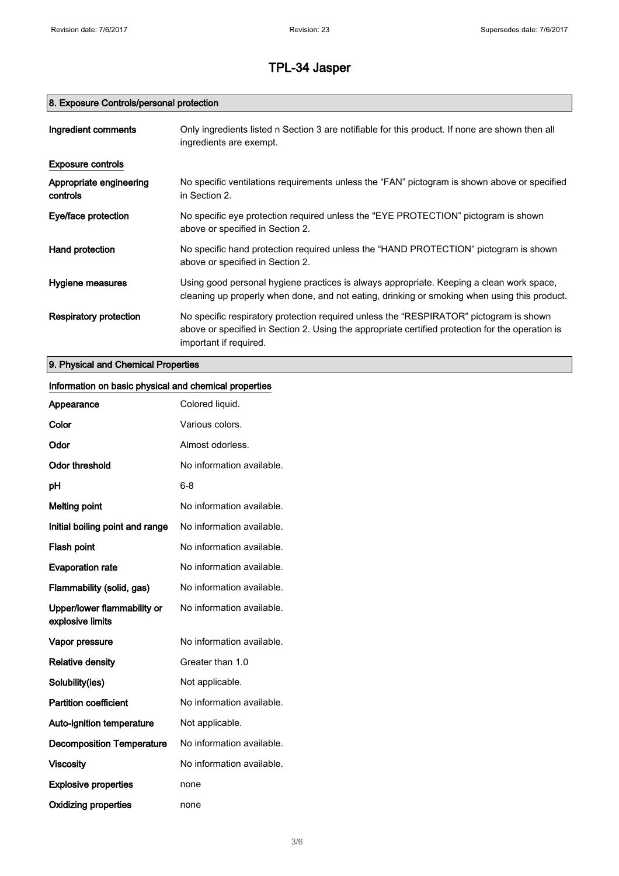## 8. Exposure Controls/personal protection

| Ingredient comments                 | Only ingredients listed n Section 3 are notifiable for this product. If none are shown then all<br>ingredients are exempt.                                                                                           |
|-------------------------------------|----------------------------------------------------------------------------------------------------------------------------------------------------------------------------------------------------------------------|
| <b>Exposure controls</b>            |                                                                                                                                                                                                                      |
| Appropriate engineering<br>controls | No specific ventilations requirements unless the "FAN" pictogram is shown above or specified<br>in Section 2.                                                                                                        |
| Eye/face protection                 | No specific eye protection required unless the "EYE PROTECTION" pictogram is shown<br>above or specified in Section 2.                                                                                               |
| Hand protection                     | No specific hand protection required unless the "HAND PROTECTION" pictogram is shown<br>above or specified in Section 2.                                                                                             |
| Hygiene measures                    | Using good personal hygiene practices is always appropriate. Keeping a clean work space,<br>cleaning up properly when done, and not eating, drinking or smoking when using this product.                             |
| Respiratory protection              | No specific respiratory protection required unless the "RESPIRATOR" pictogram is shown<br>above or specified in Section 2. Using the appropriate certified protection for the operation is<br>important if required. |

9. Physical and Chemical Properties

## Information on basic physical and chemical properties

| Appearance                                      | Colored liquid.           |
|-------------------------------------------------|---------------------------|
| Color                                           | Various colors.           |
| Odor                                            | Almost odorless.          |
| Odor threshold                                  | No information available. |
| рH                                              | $6 - 8$                   |
| <b>Melting point</b>                            | No information available. |
| Initial boiling point and range                 | No information available. |
| <b>Flash point</b>                              | No information available. |
| <b>Evaporation rate</b>                         | No information available. |
| Flammability (solid, gas)                       | No information available. |
| Upper/lower flammability or<br>explosive limits | No information available. |
| Vapor pressure                                  | No information available. |
| <b>Relative density</b>                         | Greater than 1.0          |
| Solubility(ies)                                 | Not applicable.           |
| <b>Partition coefficient</b>                    | No information available. |
| Auto-ignition temperature                       | Not applicable.           |
| <b>Decomposition Temperature</b>                | No information available. |
| <b>Viscosity</b>                                | No information available. |
| <b>Explosive properties</b>                     | none                      |
| <b>Oxidizing properties</b>                     | none                      |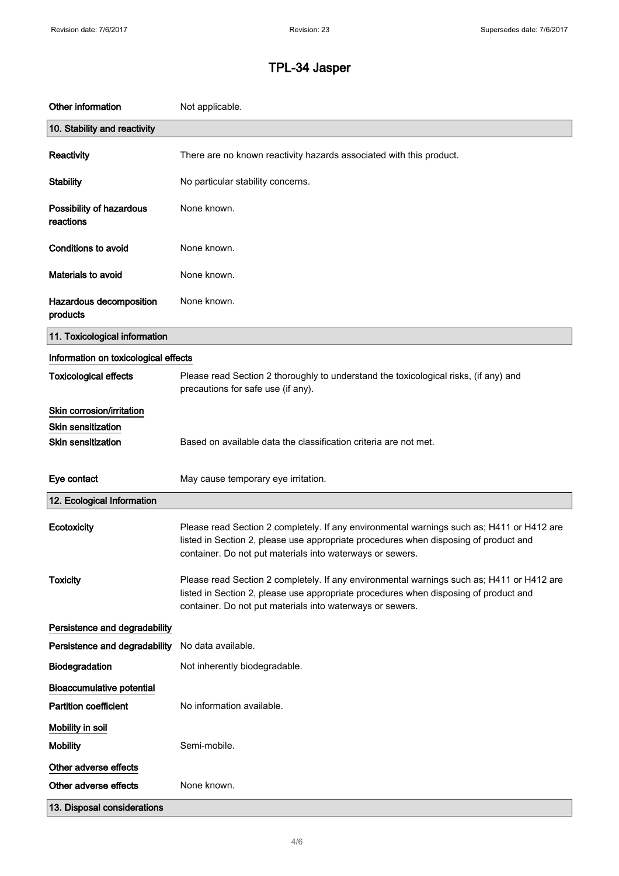| Other information                     | Not applicable.                                                                                                                                                                                                                                |
|---------------------------------------|------------------------------------------------------------------------------------------------------------------------------------------------------------------------------------------------------------------------------------------------|
| 10. Stability and reactivity          |                                                                                                                                                                                                                                                |
| Reactivity                            | There are no known reactivity hazards associated with this product.                                                                                                                                                                            |
| <b>Stability</b>                      | No particular stability concerns.                                                                                                                                                                                                              |
| Possibility of hazardous<br>reactions | None known.                                                                                                                                                                                                                                    |
| <b>Conditions to avoid</b>            | None known.                                                                                                                                                                                                                                    |
| Materials to avoid                    | None known.                                                                                                                                                                                                                                    |
| Hazardous decomposition<br>products   | None known.                                                                                                                                                                                                                                    |
| 11. Toxicological information         |                                                                                                                                                                                                                                                |
| Information on toxicological effects  |                                                                                                                                                                                                                                                |
| <b>Toxicological effects</b>          | Please read Section 2 thoroughly to understand the toxicological risks, (if any) and<br>precautions for safe use (if any).                                                                                                                     |
| Skin corrosion/irritation             |                                                                                                                                                                                                                                                |
| Skin sensitization                    |                                                                                                                                                                                                                                                |
| <b>Skin sensitization</b>             | Based on available data the classification criteria are not met.                                                                                                                                                                               |
| Eye contact                           | May cause temporary eye irritation.                                                                                                                                                                                                            |
| 12. Ecological Information            |                                                                                                                                                                                                                                                |
| Ecotoxicity                           | Please read Section 2 completely. If any environmental warnings such as; H411 or H412 are<br>listed in Section 2, please use appropriate procedures when disposing of product and<br>container. Do not put materials into waterways or sewers. |
| <b>Toxicity</b>                       | Please read Section 2 completely. If any environmental warnings such as; H411 or H412 are<br>listed in Section 2, please use appropriate procedures when disposing of product and<br>container. Do not put materials into waterways or sewers. |
| Persistence and degradability         |                                                                                                                                                                                                                                                |
| Persistence and degradability         | No data available.                                                                                                                                                                                                                             |
| Biodegradation                        | Not inherently biodegradable.                                                                                                                                                                                                                  |
| <b>Bioaccumulative potential</b>      |                                                                                                                                                                                                                                                |
| <b>Partition coefficient</b>          | No information available.                                                                                                                                                                                                                      |
| Mobility in soil                      |                                                                                                                                                                                                                                                |
| <b>Mobility</b>                       | Semi-mobile.                                                                                                                                                                                                                                   |
| Other adverse effects                 |                                                                                                                                                                                                                                                |
| Other adverse effects                 | None known.                                                                                                                                                                                                                                    |
|                                       |                                                                                                                                                                                                                                                |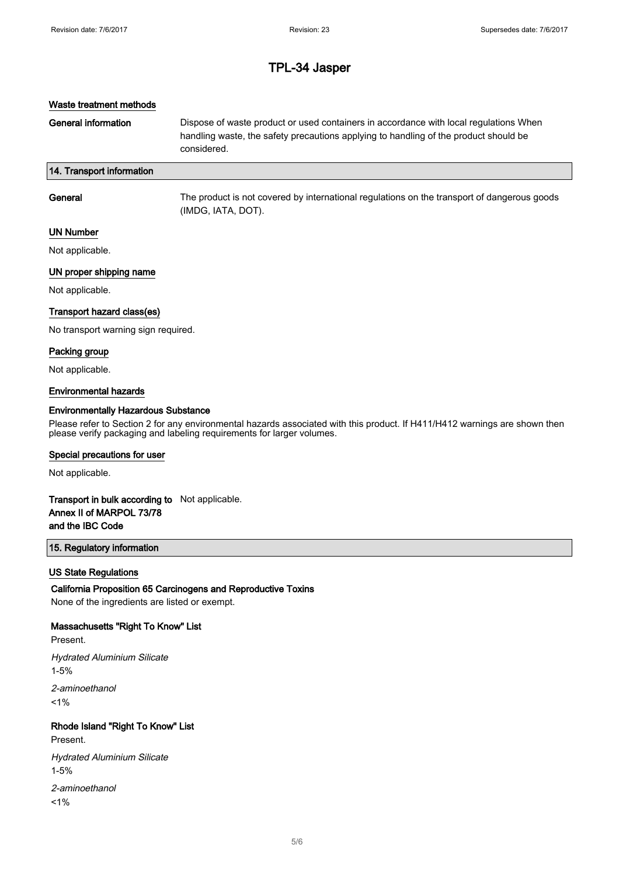## Waste treatment methods

General information **Dispose of waste product or used containers in accordance with local regulations When** handling waste, the safety precautions applying to handling of the product should be considered.

## 14. Transport information

| General | The product is not covered by international regulations on the transport of dangerous goods<br>(IMDG, IATA, DOT). |
|---------|-------------------------------------------------------------------------------------------------------------------|
|         |                                                                                                                   |

#### UN Number

Not applicable.

## UN proper shipping name

Not applicable.

#### Transport hazard class(es)

No transport warning sign required.

#### Packing group

Not applicable.

#### Environmental hazards

#### Environmentally Hazardous Substance

Please refer to Section 2 for any environmental hazards associated with this product. If H411/H412 warnings are shown then please verify packaging and labeling requirements for larger volumes.

#### Special precautions for user

Not applicable.

## Transport in bulk according to Not applicable. Annex II of MARPOL 73/78 and the IBC Code

#### 15. Regulatory information

#### US State Regulations

California Proposition 65 Carcinogens and Reproductive Toxins

None of the ingredients are listed or exempt.

#### Massachusetts "Right To Know" List

Present.

Hydrated Aluminium Silicate 1-5% 2-aminoethanol  $1%$ 

## Rhode Island "Right To Know" List

Present.

Hydrated Aluminium Silicate 1-5%

2-aminoethanol  $1%$